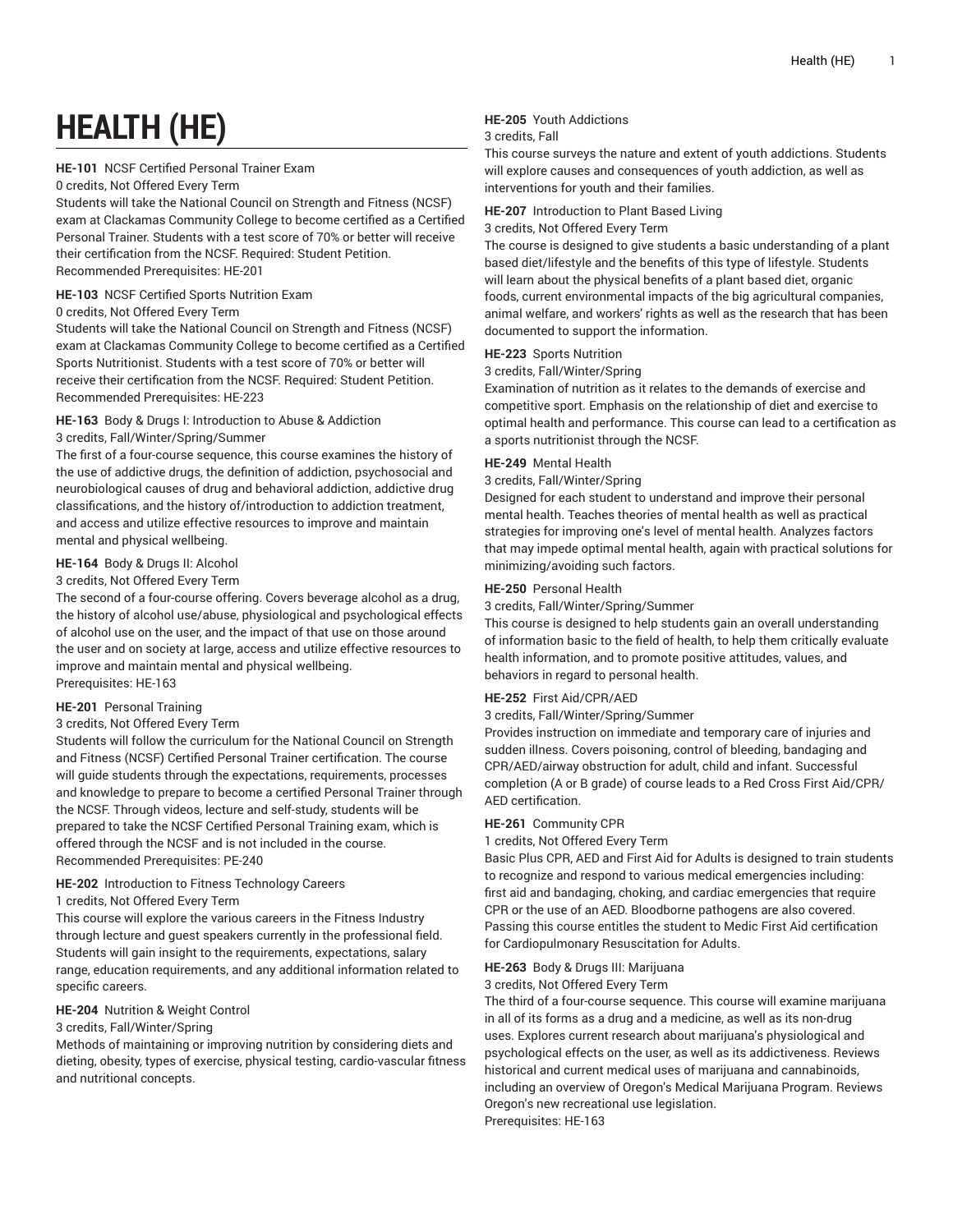# **HEALTH (HE)**

# **HE-101** NCSF Certified Personal Trainer Exam

#### 0 credits, Not Offered Every Term

Students will take the National Council on Strength and Fitness (NCSF) exam at Clackamas Community College to become certified as a Certified Personal Trainer. Students with a test score of 70% or better will receive their certification from the NCSF. Required: Student Petition. Recommended Prerequisites: HE-201

#### **HE-103** NCSF Certified Sports Nutrition Exam

#### 0 credits, Not Offered Every Term

Students will take the National Council on Strength and Fitness (NCSF) exam at Clackamas Community College to become certified as a Certified Sports Nutritionist. Students with a test score of 70% or better will receive their certification from the NCSF. Required: Student Petition. Recommended Prerequisites: HE-223

# **HE-163** Body & Drugs I: Introduction to Abuse & Addiction

#### 3 credits, Fall/Winter/Spring/Summer

The first of a four-course sequence, this course examines the history of the use of addictive drugs, the definition of addiction, psychosocial and neurobiological causes of drug and behavioral addiction, addictive drug classifications, and the history of/introduction to addiction treatment, and access and utilize effective resources to improve and maintain mental and physical wellbeing.

# **HE-164** Body & Drugs II: Alcohol

#### 3 credits, Not Offered Every Term

The second of a four-course offering. Covers beverage alcohol as a drug, the history of alcohol use/abuse, physiological and psychological effects of alcohol use on the user, and the impact of that use on those around the user and on society at large, access and utilize effective resources to improve and maintain mental and physical wellbeing. Prerequisites: HE-163

# **HE-201** Personal Training

# 3 credits, Not Offered Every Term

Students will follow the curriculum for the National Council on Strength and Fitness (NCSF) Certified Personal Trainer certification. The course will guide students through the expectations, requirements, processes and knowledge to prepare to become a certified Personal Trainer through the NCSF. Through videos, lecture and self-study, students will be prepared to take the NCSF Certified Personal Training exam, which is offered through the NCSF and is not included in the course. Recommended Prerequisites: PE-240

# **HE-202** Introduction to Fitness Technology Careers

#### 1 credits, Not Offered Every Term

This course will explore the various careers in the Fitness Industry through lecture and guest speakers currently in the professional field. Students will gain insight to the requirements, expectations, salary range, education requirements, and any additional information related to specific careers.

# **HE-204** Nutrition & Weight Control

# 3 credits, Fall/Winter/Spring

Methods of maintaining or improving nutrition by considering diets and dieting, obesity, types of exercise, physical testing, cardio-vascular fitness and nutritional concepts.

# **HE-205** Youth Addictions

#### 3 credits, Fall

This course surveys the nature and extent of youth addictions. Students will explore causes and consequences of youth addiction, as well as interventions for youth and their families.

#### **HE-207** Introduction to Plant Based Living

#### 3 credits, Not Offered Every Term

The course is designed to give students a basic understanding of a plant based diet/lifestyle and the benefits of this type of lifestyle. Students will learn about the physical benefits of a plant based diet, organic foods, current environmental impacts of the big agricultural companies, animal welfare, and workers' rights as well as the research that has been documented to support the information.

#### **HE-223** Sports Nutrition

#### 3 credits, Fall/Winter/Spring

Examination of nutrition as it relates to the demands of exercise and competitive sport. Emphasis on the relationship of diet and exercise to optimal health and performance. This course can lead to a certification as a sports nutritionist through the NCSF.

#### **HE-249** Mental Health

#### 3 credits, Fall/Winter/Spring

Designed for each student to understand and improve their personal mental health. Teaches theories of mental health as well as practical strategies for improving one's level of mental health. Analyzes factors that may impede optimal mental health, again with practical solutions for minimizing/avoiding such factors.

#### **HE-250** Personal Health

3 credits, Fall/Winter/Spring/Summer

This course is designed to help students gain an overall understanding of information basic to the field of health, to help them critically evaluate health information, and to promote positive attitudes, values, and behaviors in regard to personal health.

#### **HE-252** First Aid/CPR/AED

3 credits, Fall/Winter/Spring/Summer

Provides instruction on immediate and temporary care of injuries and sudden illness. Covers poisoning, control of bleeding, bandaging and CPR/AED/airway obstruction for adult, child and infant. Successful completion (A or B grade) of course leads to a Red Cross First Aid/CPR/ AED certification.

#### **HE-261** Community CPR

1 credits, Not Offered Every Term

Basic Plus CPR, AED and First Aid for Adults is designed to train students to recognize and respond to various medical emergencies including: first aid and bandaging, choking, and cardiac emergencies that require CPR or the use of an AED. Bloodborne pathogens are also covered. Passing this course entitles the student to Medic First Aid certification for Cardiopulmonary Resuscitation for Adults.

# **HE-263** Body & Drugs III: Marijuana

#### 3 credits, Not Offered Every Term

The third of a four-course sequence. This course will examine marijuana in all of its forms as a drug and a medicine, as well as its non-drug uses. Explores current research about marijuana's physiological and psychological effects on the user, as well as its addictiveness. Reviews historical and current medical uses of marijuana and cannabinoids, including an overview of Oregon's Medical Marijuana Program. Reviews Oregon's new recreational use legislation. Prerequisites: HE-163